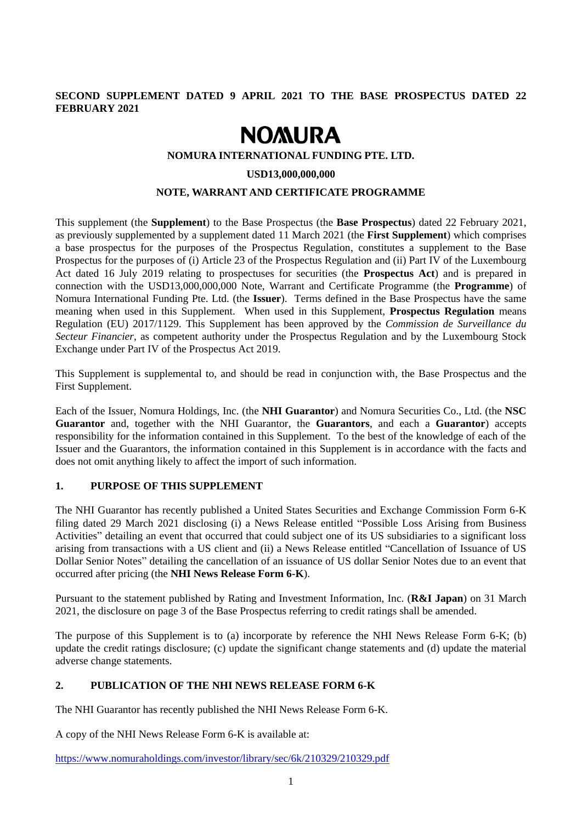# **SECOND SUPPLEMENT DATED 9 APRIL 2021 TO THE BASE PROSPECTUS DATED 22 FEBRUARY 2021**

# **NOMURA**

#### **NOMURA INTERNATIONAL FUNDING PTE. LTD.**

#### **USD13,000,000,000**

### **NOTE, WARRANT AND CERTIFICATE PROGRAMME**

This supplement (the **Supplement**) to the Base Prospectus (the **Base Prospectus**) dated 22 February 2021, as previously supplemented by a supplement dated 11 March 2021 (the **First Supplement**) which comprises a base prospectus for the purposes of the Prospectus Regulation, constitutes a supplement to the Base Prospectus for the purposes of (i) Article 23 of the Prospectus Regulation and (ii) Part IV of the Luxembourg Act dated 16 July 2019 relating to prospectuses for securities (the **Prospectus Act**) and is prepared in connection with the USD13,000,000,000 Note, Warrant and Certificate Programme (the **Programme**) of Nomura International Funding Pte. Ltd. (the **Issuer**). Terms defined in the Base Prospectus have the same meaning when used in this Supplement. When used in this Supplement, **Prospectus Regulation** means Regulation (EU) 2017/1129. This Supplement has been approved by the *Commission de Surveillance du Secteur Financier*, as competent authority under the Prospectus Regulation and by the Luxembourg Stock Exchange under Part IV of the Prospectus Act 2019.

This Supplement is supplemental to, and should be read in conjunction with, the Base Prospectus and the First Supplement.

Each of the Issuer, Nomura Holdings, Inc. (the **NHI Guarantor**) and Nomura Securities Co., Ltd. (the **NSC Guarantor** and, together with the NHI Guarantor, the **Guarantors**, and each a **Guarantor**) accepts responsibility for the information contained in this Supplement. To the best of the knowledge of each of the Issuer and the Guarantors, the information contained in this Supplement is in accordance with the facts and does not omit anything likely to affect the import of such information.

## **1. PURPOSE OF THIS SUPPLEMENT**

The NHI Guarantor has recently published a United States Securities and Exchange Commission Form 6-K filing dated 29 March 2021 disclosing (i) a News Release entitled "Possible Loss Arising from Business Activities" detailing an event that occurred that could subject one of its US subsidiaries to a significant loss arising from transactions with a US client and (ii) a News Release entitled "Cancellation of Issuance of US Dollar Senior Notes" detailing the cancellation of an issuance of US dollar Senior Notes due to an event that occurred after pricing (the **NHI News Release Form 6-K**).

Pursuant to the statement published by Rating and Investment Information, Inc. (**R&I Japan**) on 31 March 2021, the disclosure on page 3 of the Base Prospectus referring to credit ratings shall be amended.

The purpose of this Supplement is to (a) incorporate by reference the NHI News Release Form 6-K; (b) update the credit ratings disclosure; (c) update the significant change statements and (d) update the material adverse change statements.

### **2. PUBLICATION OF THE NHI NEWS RELEASE FORM 6-K**

The NHI Guarantor has recently published the NHI News Release Form 6-K.

A copy of the NHI News Release Form 6-K is available at:

<https://www.nomuraholdings.com/investor/library/sec/6k/210329/210329.pdf>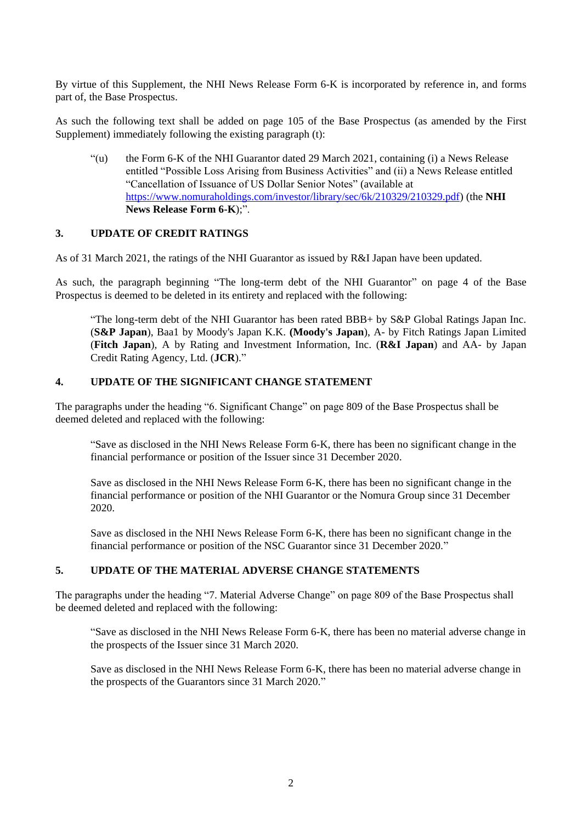By virtue of this Supplement, the NHI News Release Form 6-K is incorporated by reference in, and forms part of, the Base Prospectus.

As such the following text shall be added on page 105 of the Base Prospectus (as amended by the First Supplement) immediately following the existing paragraph (t):

"(u) the Form 6-K of the NHI Guarantor dated 29 March 2021, containing (i) a News Release entitled "Possible Loss Arising from Business Activities" and (ii) a News Release entitled "Cancellation of Issuance of US Dollar Senior Notes" (available at [https://www.nomuraholdings.com/investor/library/sec/6k/210329/210329.pdf\)](https://www.nomuraholdings.com/investor/library/sec/6k/210329/210329.pdf) (the **NHI News Release Form 6-K**);".

## **3. UPDATE OF CREDIT RATINGS**

As of 31 March 2021, the ratings of the NHI Guarantor as issued by R&I Japan have been updated.

As such, the paragraph beginning "The long-term debt of the NHI Guarantor" on page 4 of the Base Prospectus is deemed to be deleted in its entirety and replaced with the following:

"The long-term debt of the NHI Guarantor has been rated BBB+ by S&P Global Ratings Japan Inc. (**S&P Japan**), Baa1 by Moody's Japan K.K. **(Moody's Japan**), A- by Fitch Ratings Japan Limited (**Fitch Japan**), A by Rating and Investment Information, Inc. (**R&I Japan**) and AA- by Japan Credit Rating Agency, Ltd. (**JCR**)."

# **4. UPDATE OF THE SIGNIFICANT CHANGE STATEMENT**

The paragraphs under the heading "6. Significant Change" on page 809 of the Base Prospectus shall be deemed deleted and replaced with the following:

"Save as disclosed in the NHI News Release Form 6-K, there has been no significant change in the financial performance or position of the Issuer since 31 December 2020.

Save as disclosed in the NHI News Release Form 6-K, there has been no significant change in the financial performance or position of the NHI Guarantor or the Nomura Group since 31 December 2020.

Save as disclosed in the NHI News Release Form 6-K, there has been no significant change in the financial performance or position of the NSC Guarantor since 31 December 2020."

#### **5. UPDATE OF THE MATERIAL ADVERSE CHANGE STATEMENTS**

The paragraphs under the heading "7. Material Adverse Change" on page 809 of the Base Prospectus shall be deemed deleted and replaced with the following:

"Save as disclosed in the NHI News Release Form 6-K, there has been no material adverse change in the prospects of the Issuer since 31 March 2020.

Save as disclosed in the NHI News Release Form 6-K, there has been no material adverse change in the prospects of the Guarantors since 31 March 2020."